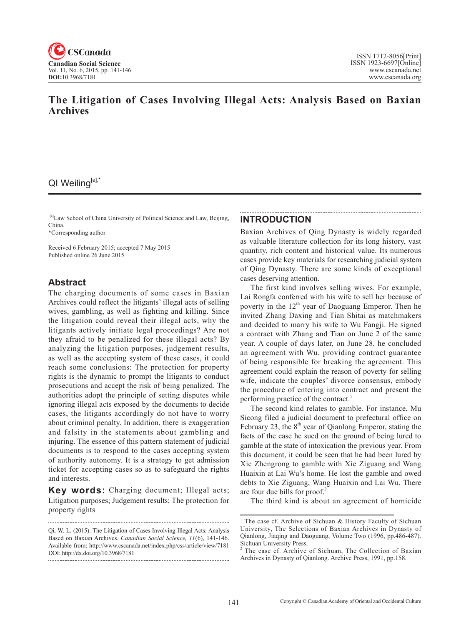

# **The Litigation of Cases Involving Illegal Acts: Analysis Based on Baxian Archives**

# QI Weiling[a],\*

[a]Law School of China University of Political Science and Law, Beijing, China.

\*Corresponding author

Received 6 February 2015; accepted 7 May 2015 Published online 26 June 2015

## **Abstract**

The charging documents of some cases in Baxian Archives could reflect the litigants' illegal acts of selling wives, gambling, as well as fighting and killing. Since the litigation could reveal their illegal acts, why the litigants actively initiate legal proceedings? Are not they afraid to be penalized for these illegal acts? By analyzing the litigation purposes, judgement results, as well as the accepting system of these cases, it could reach some conclusions: The protection for property rights is the dynamic to prompt the litigants to conduct prosecutions and accept the risk of being penalized. The authorities adopt the principle of setting disputes while ignoring illegal acts exposed by the documents to decide cases, the litigants accordingly do not have to worry about criminal penalty. In addition, there is exaggeration and falsity in the statements about gambling and injuring. The essence of this pattern statement of judicial documents is to respond to the cases accepting system of authority autonomy. It is a strategy to get admission ticket for accepting cases so as to safeguard the rights and interests.

**Key words:** Charging document; Illegal acts; Litigation purposes; Judgement results; The protection for property rights

### **INTRODUCTION**

Baxian Archives of Qing Dynasty is widely regarded as valuable literature collection for its long history, vast quantity, rich content and historical value. Its numerous cases provide key materials for researching judicial system of Qing Dynasty. There are some kinds of exceptional cases deserving attention.

The first kind involves selling wives. For example, Lai Rongfa conferred with his wife to sell her because of poverty in the  $12<sup>th</sup>$  year of Daoguang Emperor. Then he invited Zhang Daxing and Tian Shitai as matchmakers and decided to marry his wife to Wu Fangji. He signed a contract with Zhang and Tian on June 2 of the same year. A couple of days later, on June 28, he concluded an agreement with Wu, providing contract guarantee of being responsible for breaking the agreement. This agreement could explain the reason of poverty for selling wife, indicate the couples' divorce consensus, embody the procedure of entering into contract and present the performing practice of the contract.<sup>1</sup>

The second kind relates to gamble. For instance, Mu Sicong filed a judicial document to prefectural office on February 23, the  $8<sup>th</sup>$  year of Qianlong Emperor, stating the facts of the case he sued on the ground of being lured to gamble at the state of intoxication the previous year. From this document, it could be seen that he had been lured by Xie Zhengrong to gamble with Xie Ziguang and Wang Huaixin at Lai Wu's home. He lost the gamble and owed debts to Xie Ziguang, Wang Huaixin and Lai Wu. There are four due bills for proof.<sup>2</sup>

The third kind is about an agreement of homicide

Qi, W. L. (2015). The Litigation of Cases Involving Illegal Acts: Analysis Based on Baxian Archives. *Canadian Social Science*, <sup>11</sup>(6), 141-146. Available from: http://www.cscanada.net/index.php/css/article/view/7181 DOI: http://dx.doi.org/10.3968/7181 

<sup>&</sup>lt;sup>1</sup> The case cf. Archive of Sichuan & History Faculty of Sichuan University, The Selections of Baxian Archives in Dynasty of Qianlong, Jiaqing and Daoguang, Volume Two (1996, pp.486-487). Sichuan University Press.

The case cf. Archive of Sichuan, The Collection of Baxian Archives in Dynasty of Qianlong. Archive Press, 1991, pp.158.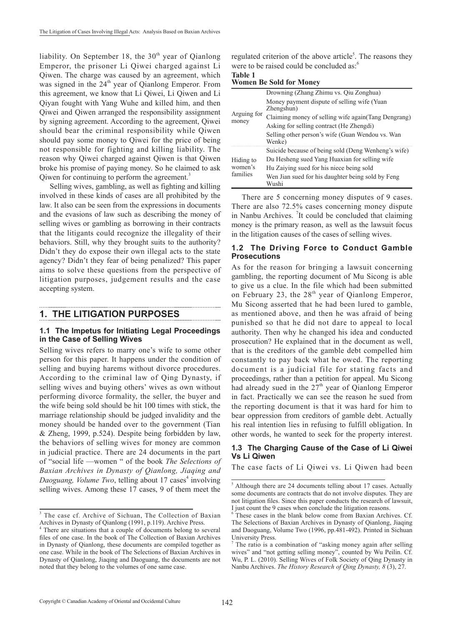liability. On September 18, the  $30<sup>th</sup>$  year of Qianlong Emperor, the prisoner Li Qiwei charged against Li Qiwen. The charge was caused by an agreement, which was signed in the  $24<sup>th</sup>$  year of Qianlong Emperor. From this agreement, we know that Li Qiwei, Li Qiwen and Li Qiyan fought with Yang Wuhe and killed him, and then Qiwei and Qiwen arranged the responsibility assignment by signing agreement. According to the agreement, Qiwei should bear the criminal responsibility while Qiwen should pay some money to Qiwei for the price of being not responsible for fighting and killing liability. The reason why Qiwei charged against Qiwen is that Qiwen broke his promise of paying money. So he claimed to ask Qiwen for continuing to perform the agreement.<sup>3</sup>

Selling wives, gambling, as well as fighting and killing involved in these kinds of cases are all prohibited by the law. It also can be seen from the expressions in documents and the evasions of law such as describing the money of selling wives or gambling as borrowing in their contracts that the litigants could recognize the illegality of their behaviors. Still, why they brought suits to the authority? Didn't they do expose their own illegal acts to the state agency? Didn't they fear of being penalized? This paper aims to solve these questions from the perspective of litigation purposes, judgement results and the case accepting system.

## **1. THE LITIGATION PURPOSES**

#### **1.1 The Impetus for Initiating Legal Proceedings in the Case of Selling Wives**

Selling wives refers to marry one's wife to some other person for this paper. It happens under the condition of selling and buying harems without divorce procedures. According to the criminal law of Qing Dynasty, if selling wives and buying others' wives as own without performing divorce formality, the seller, the buyer and the wife being sold should be hit 100 times with stick, the marriage relationship should be judged invalidity and the money should be handed over to the government (Tian & Zheng, 1999, p.524). Despite being forbidden by law, the behaviors of selling wives for money are common in judicial practice. There are 24 documents in the part of "social life —women " of the book *The Selections of Baxian Archives in Dynasty of Qianlong, Jiaqing and*  Daoguang, Volume Two, telling about 17 cases<sup>4</sup> involving selling wives. Among these 17 cases, 9 of them meet the

regulated criterion of the above article<sup>5</sup>. The reasons they were to be raised could be concluded as:<sup>6</sup>

## **Table 1**

| Arguing for<br>money             | Drowning (Zhang Zhimu vs. Qiu Zonghua)                    |
|----------------------------------|-----------------------------------------------------------|
|                                  | Money payment dispute of selling wife (Yuan<br>Zhengshun) |
|                                  |                                                           |
|                                  | Claiming money of selling wife again(Tang Dengrang)       |
|                                  | Asking for selling contract (He Zhengdi)                  |
|                                  | Selling other person's wife (Guan Wendou vs. Wan          |
|                                  | Wenke)                                                    |
| Hiding to<br>women's<br>families | Suicide because of being sold (Deng Wenheng's wife)       |
|                                  | Du Hesheng sued Yang Huaxian for selling wife             |
|                                  | Hu Zaiying sued for his niece being sold                  |
|                                  | Wen Jian sued for his daughter being sold by Feng         |
|                                  | Wushi                                                     |

There are 5 concerning money disputes of 9 cases. There are also 72.5% cases concerning money dispute in Nanbu Archives. <sup>7</sup>It could be concluded that claiming money is the primary reason, as well as the lawsuit focus in the litigation causes of the cases of selling wives.

#### **1.2 The Driving Force to Conduct Gamble Prosecutions**

As for the reason for bringing a lawsuit concerning gambling, the reporting document of Mu Sicong is able to give us a clue. In the file which had been submitted on February 23, the  $28<sup>th</sup>$  year of Qianlong Emperor, Mu Sicong asserted that he had been lured to gamble, as mentioned above, and then he was afraid of being punished so that he did not dare to appeal to local authority. Then why he changed his idea and conducted prosecution? He explained that in the document as well, that is the creditors of the gamble debt compelled him constantly to pay back what he owed. The reporting document is a judicial file for stating facts and proceedings, rather than a petition for appeal. Mu Sicong had already sued in the  $27<sup>th</sup>$  year of Qianlong Emperor in fact. Practically we can see the reason he sued from the reporting document is that it was hard for him to bear oppression from creditors of gamble debt. Actually his real intention lies in refusing to fulfill obligation. In other words, he wanted to seek for the property interest.

### **1.3 The Charging Cause of the Case of Li Qiwei Vs Li Qiwen**

The case facts of Li Qiwei vs. Li Qiwen had been

<sup>&</sup>lt;sup>3</sup> The case cf. Archive of Sichuan, The Collection of Baxian Archives in Dynasty of Qianlong (1991, p.119). Archive Press.

<sup>4</sup> There are situations that a couple of documents belong to several files of one case. In the book of The Collection of Baxian Archives in Dynasty of Qianlong, these documents are compiled together as one case. While in the book of The Selections of Baxian Archives in Dynasty of Qianlong, Jiaqing and Daoguang, the documents are not noted that they belong to the volumes of one same case.

<sup>&</sup>lt;sup>5</sup> Although there are 24 documents telling about 17 cases. Actually some documents are contracts that do not involve disputes. They are not litigation files. Since this paper conducts the research of lawsuit, I just count the 9 cases when conclude the litigation reasons.

These cases in the blank below come from Baxian Archives. Cf. The Selections of Baxian Archives in Dynasty of Qianlong, Jiaqing and Daoguang, Volume Two (1996, pp.481-492). Printed in Sichuan University Press.

The ratio is a combination of "asking money again after selling wives" and "not getting selling money", counted by Wu Peilin. Cf. Wu, P. L. (2010). Selling Wives of Folk Society of Qing Dynasty in Nanbu Archives. *The History Research of Qing Dynasty, 8* (3), 27.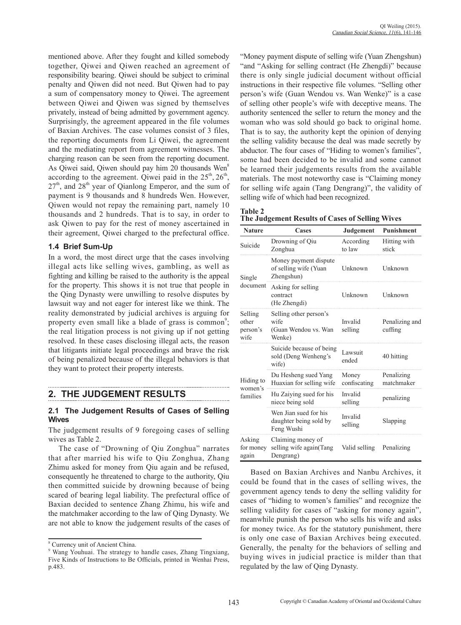mentioned above. After they fought and killed somebody together, Qiwei and Qiwen reached an agreement of responsibility bearing. Qiwei should be subject to criminal penalty and Qiwen did not need. But Qiwen had to pay a sum of compensatory money to Qiwei. The agreement between Qiwei and Qiwen was signed by themselves privately, instead of being admitted by government agency. Surprisingly, the agreement appeared in the file volumes of Baxian Archives. The case volumes consist of 3 files, the reporting documents from Li Qiwei, the agreement and the mediating report from agreement witnesses. The charging reason can be seen from the reporting document. As Qiwei said, Qiwen should pay him 20 thousands Wen<sup>8</sup> according to the agreement. Qiwei paid in the  $25<sup>th</sup>$ ,  $26<sup>th</sup>$ ,  $27<sup>th</sup>$ , and  $28<sup>th</sup>$  year of Qianlong Emperor, and the sum of payment is 9 thousands and 8 hundreds Wen. However, Qiwen would not repay the remaining part, namely 10 thousands and 2 hundreds. That is to say, in order to ask Qiwen to pay for the rest of money ascertained in their agreement, Qiwei charged to the prefectural office.

### **1.4 Brief Sum-Up**

In a word, the most direct urge that the cases involving illegal acts like selling wives, gambling, as well as fighting and killing be raised to the authority is the appeal for the property. This shows it is not true that people in the Qing Dynasty were unwilling to resolve disputes by lawsuit way and not eager for interest like we think. The reality demonstrated by judicial archives is arguing for property even small like a blade of grass is common<sup>9</sup>; the real litigation process is not giving up if not getting resolved. In these cases disclosing illegal acts, the reason that litigants initiate legal proceedings and brave the risk of being penalized because of the illegal behaviors is that they want to protect their property interests.

# **2. THE JUDGEMENT RESULTS**

### **2.1 The Judgement Results of Cases of Selling Wives**

The judgement results of 9 foregoing cases of selling wives as Table 2.

The case of "Drowning of Qiu Zonghua" narrates that after married his wife to Qiu Zonghua, Zhang Zhimu asked for money from Qiu again and be refused, consequently he threatened to charge to the authority, Qiu then committed suicide by drowning because of being scared of bearing legal liability. The prefectural office of Baxian decided to sentence Zhang Zhimu, his wife and the matchmaker according to the law of Qing Dynasty. We are not able to know the judgement results of the cases of "Money payment dispute of selling wife (Yuan Zhengshun) "and "Asking for selling contract (He Zhengdi)" because there is only single judicial document without official instructions in their respective file volumes. "Selling other person's wife (Guan Wendou vs. Wan Wenke)" is a case of selling other people's wife with deceptive means. The authority sentenced the seller to return the money and the woman who was sold should go back to original home. That is to say, the authority kept the opinion of denying the selling validity because the deal was made secretly by abductor. The four cases of "Hiding to women's families", some had been decided to be invalid and some cannot be learned their judgements results from the available materials. The most noteworthy case is "Claiming money for selling wife again (Tang Dengrang)", the validity of selling wife of which had been recognized.

| Table 2                                         |  |  |
|-------------------------------------------------|--|--|
| The Judgement Results of Cases of Selling Wives |  |  |

| <b>Nature</b>                        | Cases                                                            | Judgement             | <b>Punishment</b>         |
|--------------------------------------|------------------------------------------------------------------|-----------------------|---------------------------|
| Suicide                              | Drowning of Qiu<br>Zonghua                                       | According<br>to law   | Hitting with<br>stick     |
| Single<br>document                   | Money payment dispute<br>of selling wife (Yuan<br>Zhengshun)     | Unknown               | Unknown                   |
|                                      | Asking for selling<br>contract<br>(He Zhengdi)                   | Unknown               | Unknown                   |
| Selling<br>other<br>person's<br>wife | Selling other person's<br>wife<br>(Guan Wendou vs. Wan<br>Wenke) | Invalid<br>selling    | Penalizing and<br>cuffing |
| Hiding to<br>women's<br>families     | Suicide because of being<br>sold (Deng Wenheng's<br>wife)        | Lawsuit<br>ended      | 40 hitting                |
|                                      | Du Hesheng sued Yang<br>Huaxian for selling wife                 | Money<br>confiscating | Penalizing<br>matchmaker  |
|                                      | Hu Zaiying sued for his<br>niece being sold                      | Invalid<br>selling    | penalizing                |
|                                      | Wen Jian sued for his<br>daughter being sold by<br>Feng Wushi    | Invalid<br>selling    | Slapping                  |
| Asking<br>for money<br>again         | Claiming money of<br>selling wife again (Tang<br>Dengrang)       | Valid selling         | Penalizing                |

Based on Baxian Archives and Nanbu Archives, it could be found that in the cases of selling wives, the government agency tends to deny the selling validity for cases of "hiding to women's families" and recognize the selling validity for cases of "asking for money again", meanwhile punish the person who sells his wife and asks for money twice. As for the statutory punishment, there is only one case of Baxian Archives being executed. Generally, the penalty for the behaviors of selling and buying wives in judicial practice is milder than that regulated by the law of Qing Dynasty.

<sup>8</sup> Currency unit of Ancient China.

<sup>9</sup> Wang Youhuai. The strategy to handle cases, Zhang Tingxiang, Five Kinds of Instructions to Be Officials, printed in Wenhai Press, p.483.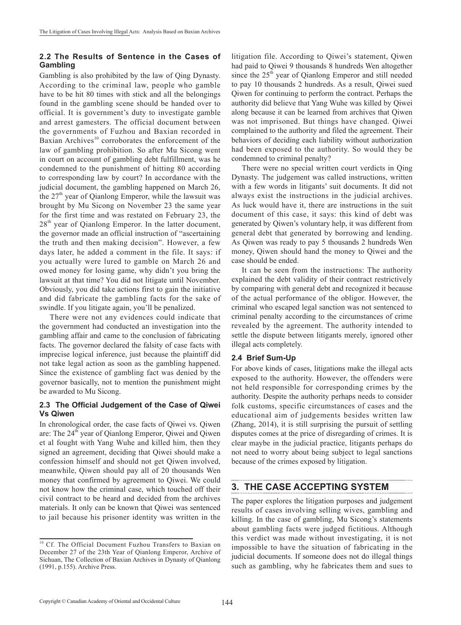### **2.2 The Results of Sentence in the Cases of Gambling**

Gambling is also prohibited by the law of Qing Dynasty. According to the criminal law, people who gamble have to be hit 80 times with stick and all the belongings found in the gambling scene should be handed over to official. It is government's duty to investigate gamble and arrest gamesters. The official document between the governments of Fuzhou and Baxian recorded in Baxian Archives $10$  corroborates the enforcement of the law of gambling prohibition. So after Mu Sicong went in court on account of gambling debt fulfillment, was he condemned to the punishment of hitting 80 according to corresponding law by court? In accordance with the judicial document, the gambling happened on March 26, the 27<sup>th</sup> year of Qianlong Emperor, while the lawsuit was brought by Mu Sicong on November 23 the same year for the first time and was restated on February 23, the  $28<sup>th</sup>$  year of Qianlong Emperor. In the latter document, the governor made an official instruction of "ascertaining the truth and then making decision". However, a few days later, he added a comment in the file. It says: if you actually were lured to gamble on March 26 and owed money for losing game, why didn't you bring the lawsuit at that time? You did not litigate until November. Obviously, you did take actions first to gain the initiative and did fabricate the gambling facts for the sake of swindle. If you litigate again, you'll be penalized.

There were not any evidences could indicate that the government had conducted an investigation into the gambling affair and came to the conclusion of fabricating facts. The governor declared the falsity of case facts with imprecise logical inference, just because the plaintiff did not take legal action as soon as the gambling happened. Since the existence of gambling fact was denied by the governor basically, not to mention the punishment might be awarded to Mu Sicong.

### **2.3 The Official Judgement of the Case of Qiwei Vs Qiwen**

In chronological order, the case facts of Qiwei vs. Qiwen are: The 24<sup>th</sup> year of Qianlong Emperor, Qiwei and Qiwen et al fought with Yang Wuhe and killed him, then they signed an agreement, deciding that Qiwei should make a confession himself and should not get Qiwen involved, meanwhile, Qiwen should pay all of 20 thousands Wen money that confirmed by agreement to Qiwei. We could not know how the criminal case, which touched off their civil contract to be heard and decided from the archives materials. It only can be known that Qiwei was sentenced to jail because his prisoner identity was written in the litigation file. According to Qiwei's statement, Qiwen had paid to Qiwei 9 thousands 8 hundreds Wen altogether since the 25<sup>th</sup> year of Qianlong Emperor and still needed to pay 10 thousands 2 hundreds. As a result, Qiwei sued Qiwen for continuing to perform the contract. Perhaps the authority did believe that Yang Wuhe was killed by Qiwei along because it can be learned from archives that Qiwen was not imprisoned. But things have changed. Qiwei complained to the authority and filed the agreement. Their behaviors of deciding each liability without authorization had been exposed to the authority. So would they be condemned to criminal penalty?

There were no special written court verdicts in Qing Dynasty. The judgement was called instructions, written with a few words in litigants' suit documents. It did not always exist the instructions in the judicial archives. As luck would have it, there are instructions in the suit document of this case, it says: this kind of debt was generated by Qiwen's voluntary help, it was different from general debt that generated by borrowing and lending. As Qiwen was ready to pay 5 thousands 2 hundreds Wen money, Qiwen should hand the money to Qiwei and the case should be ended.

It can be seen from the instructions: The authority explained the debt validity of their contract restrictively by comparing with general debt and recognized it because of the actual performance of the obligor. However, the criminal who escaped legal sanction was not sentenced to criminal penalty according to the circumstances of crime revealed by the agreement. The authority intended to settle the dispute between litigants merely, ignored other illegal acts completely.

### **2.4 Brief Sum-Up**

For above kinds of cases, litigations make the illegal acts exposed to the authority. However, the offenders were not held responsible for corresponding crimes by the authority. Despite the authority perhaps needs to consider folk customs, specific circumstances of cases and the educational aim of judgements besides written law (Zhang, 2014), it is still surprising the pursuit of settling disputes comes at the price of disregarding of crimes. It is clear maybe in the judicial practice, litigants perhaps do not need to worry about being subject to legal sanctions because of the crimes exposed by litigation.

# **3. THE CASE ACCEPTING SYSTEM**

The paper explores the litigation purposes and judgement results of cases involving selling wives, gambling and killing. In the case of gambling, Mu Sicong's statements about gambling facts were judged fictitious. Although this verdict was made without investigating, it is not impossible to have the situation of fabricating in the judicial documents. If someone does not do illegal things such as gambling, why he fabricates them and sues to

<sup>&</sup>lt;sup>10</sup> Cf. The Official Document Fuzhou Transfers to Baxian on December 27 of the 23th Year of Qianlong Emperor, Archive of Sichuan, The Collection of Baxian Archives in Dynasty of Qianlong (1991, p.155). Archive Press.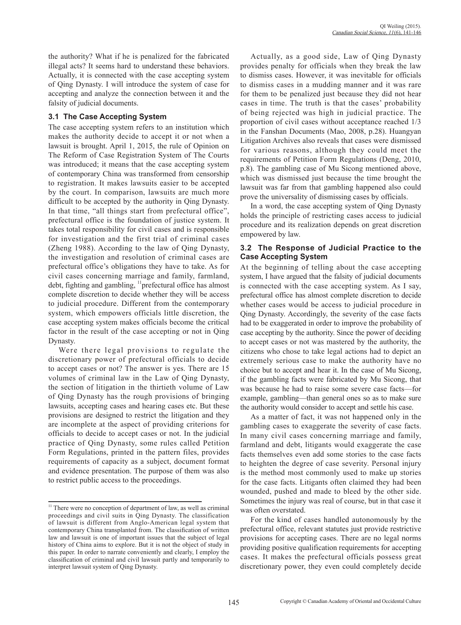the authority? What if he is penalized for the fabricated illegal acts? It seems hard to understand these behaviors. Actually, it is connected with the case accepting system of Qing Dynasty. I will introduce the system of case for accepting and analyze the connection between it and the falsity of judicial documents.

### **3.1 The Case Accepting System**

The case accepting system refers to an institution which makes the authority decide to accept it or not when a lawsuit is brought. April 1, 2015, the rule of Opinion on The Reform of Case Registration System of The Courts was introduced; it means that the case accepting system of contemporary China was transformed from censorship to registration. It makes lawsuits easier to be accepted by the court. In comparison, lawsuits are much more difficult to be accepted by the authority in Qing Dynasty. In that time, "all things start from prefectural office", prefectural office is the foundation of justice system. It takes total responsibility for civil cases and is responsible for investigation and the first trial of criminal cases (Zheng 1988). According to the law of Qing Dynasty, the investigation and resolution of criminal cases are prefectural office's obligations they have to take. As for civil cases concerning marriage and family, farmland, debt, fighting and gambling,  $\frac{11}{1}$  prefectural office has almost complete discretion to decide whether they will be access to judicial procedure. Different from the contemporary system, which empowers officials little discretion, the case accepting system makes officials become the critical factor in the result of the case accepting or not in Qing Dynasty.

Were there legal provisions to regulate the discretionary power of prefectural officials to decide to accept cases or not? The answer is yes. There are 15 volumes of criminal law in the Law of Qing Dynasty, the section of litigation in the thirtieth volume of Law of Qing Dynasty has the rough provisions of bringing lawsuits, accepting cases and hearing cases etc. But these provisions are designed to restrict the litigation and they are incomplete at the aspect of providing criterions for officials to decide to accept cases or not. In the judicial practice of Qing Dynasty, some rules called Petition Form Regulations, printed in the pattern files, provides requirements of capacity as a subject, document format and evidence presentation. The purpose of them was also to restrict public access to the proceedings.

Actually, as a good side, Law of Qing Dynasty provides penalty for officials when they break the law to dismiss cases. However, it was inevitable for officials to dismiss cases in a mudding manner and it was rare for them to be penalized just because they did not hear cases in time. The truth is that the cases' probability of being rejected was high in judicial practice. The proportion of civil cases without acceptance reached 1/3 in the Fanshan Documents (Mao, 2008, p.28). Huangyan Litigation Archives also reveals that cases were dismissed for various reasons, although they could meet the requirements of Petition Form Regulations (Deng, 2010, p.8). The gambling case of Mu Sicong mentioned above, which was dismissed just because the time brought the lawsuit was far from that gambling happened also could prove the universality of dismissing cases by officials.

In a word, the case accepting system of Qing Dynasty holds the principle of restricting cases access to judicial procedure and its realization depends on great discretion empowered by law.

#### **3.2 The Response of Judicial Practice to the Case Accepting System**

At the beginning of telling about the case accepting system, I have argued that the falsity of judicial documents is connected with the case accepting system. As I say, prefectural office has almost complete discretion to decide whether cases would be access to judicial procedure in Qing Dynasty. Accordingly, the severity of the case facts had to be exaggerated in order to improve the probability of case accepting by the authority. Since the power of deciding to accept cases or not was mastered by the authority, the citizens who chose to take legal actions had to depict an extremely serious case to make the authority have no choice but to accept and hear it. In the case of Mu Sicong, if the gambling facts were fabricated by Mu Sicong, that was because he had to raise some severe case facts—for example, gambling—than general ones so as to make sure the authority would consider to accept and settle his case.

As a matter of fact, it was not happened only in the gambling cases to exaggerate the severity of case facts. In many civil cases concerning marriage and family, farmland and debt, litigants would exaggerate the case facts themselves even add some stories to the case facts to heighten the degree of case severity. Personal injury is the method most commonly used to make up stories for the case facts. Litigants often claimed they had been wounded, pushed and made to bleed by the other side. Sometimes the injury was real of course, but in that case it was often overstated.

For the kind of cases handled autonomously by the prefectural office, relevant statutes just provide restrictive provisions for accepting cases. There are no legal norms providing positive qualification requirements for accepting cases. It makes the prefectural officials possess great discretionary power, they even could completely decide

<sup>&</sup>lt;sup>11</sup> There were no conception of department of law, as well as criminal proceedings and civil suits in Qing Dynasty. The classification of lawsuit is different from Anglo-American legal system that contemporary China transplanted from. The classification of written law and lawsuit is one of important issues that the subject of legal history of China aims to explore. But it is not the object of study in this paper. In order to narrate conveniently and clearly, I employ the classification of criminal and civil lawsuit partly and temporarily to interpret lawsuit system of Qing Dynasty.